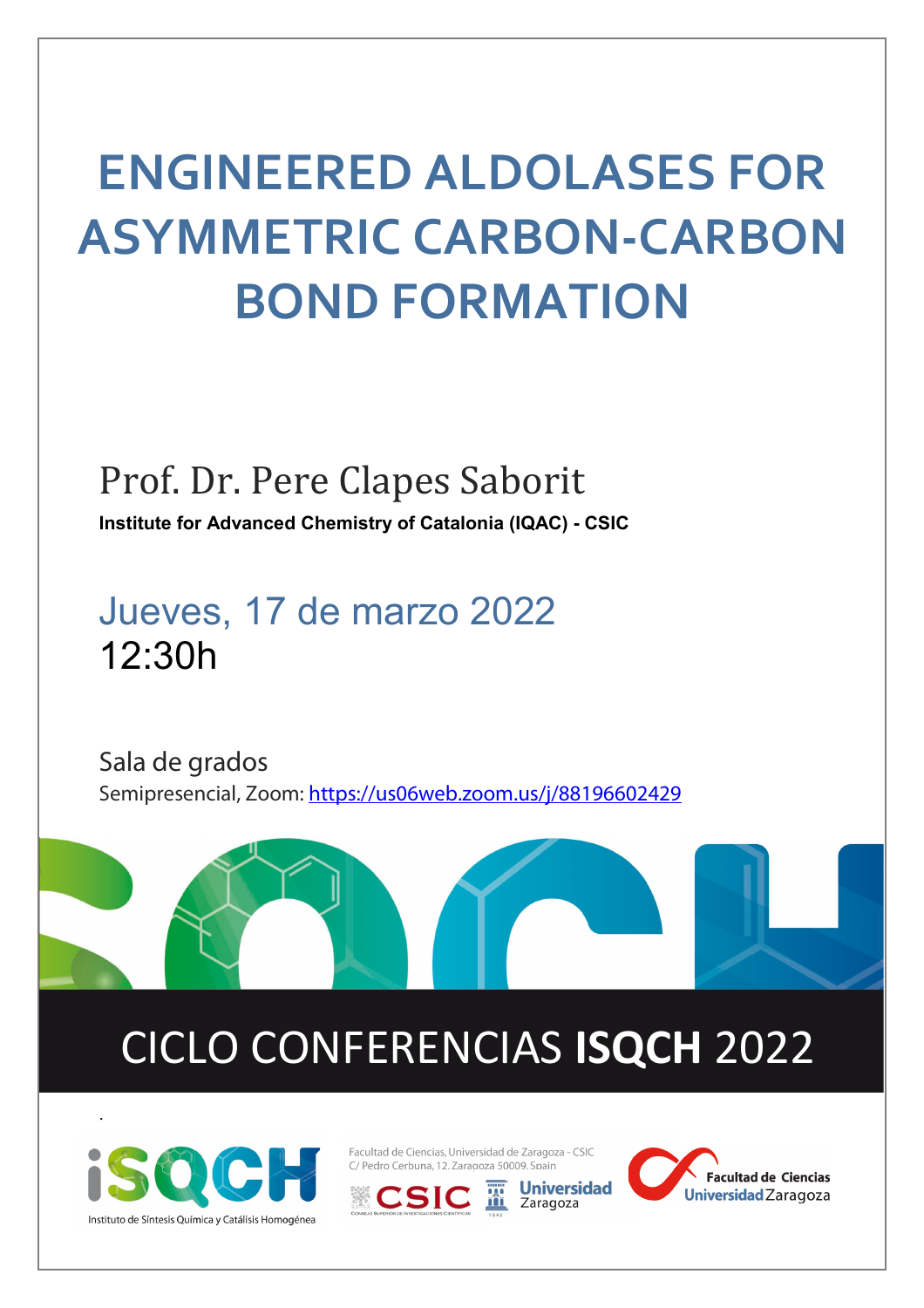# **ENGINEERED ALDOLASES FOR ASYMMETRIC CARBON-CARBON BOND FORMATION**

## Prof. Dr. Pere Clapes Saborit

**Institute for Advanced Chemistry of Catalonia (IQAC) - CSIC**

### Jueves, 17 de marzo 2022 12:30h

Sala de grados Semipresencial, Zoom:<https://us06web.zoom.us/j/88196602429>

## CICLO CONFERENCIAS **ISQCH** 2022



.

Facultad de Ciencias, Universidad de Zaragoza - CSIC C/ Pedro Cerbuna, 12. Zaragoza 50009. Spain





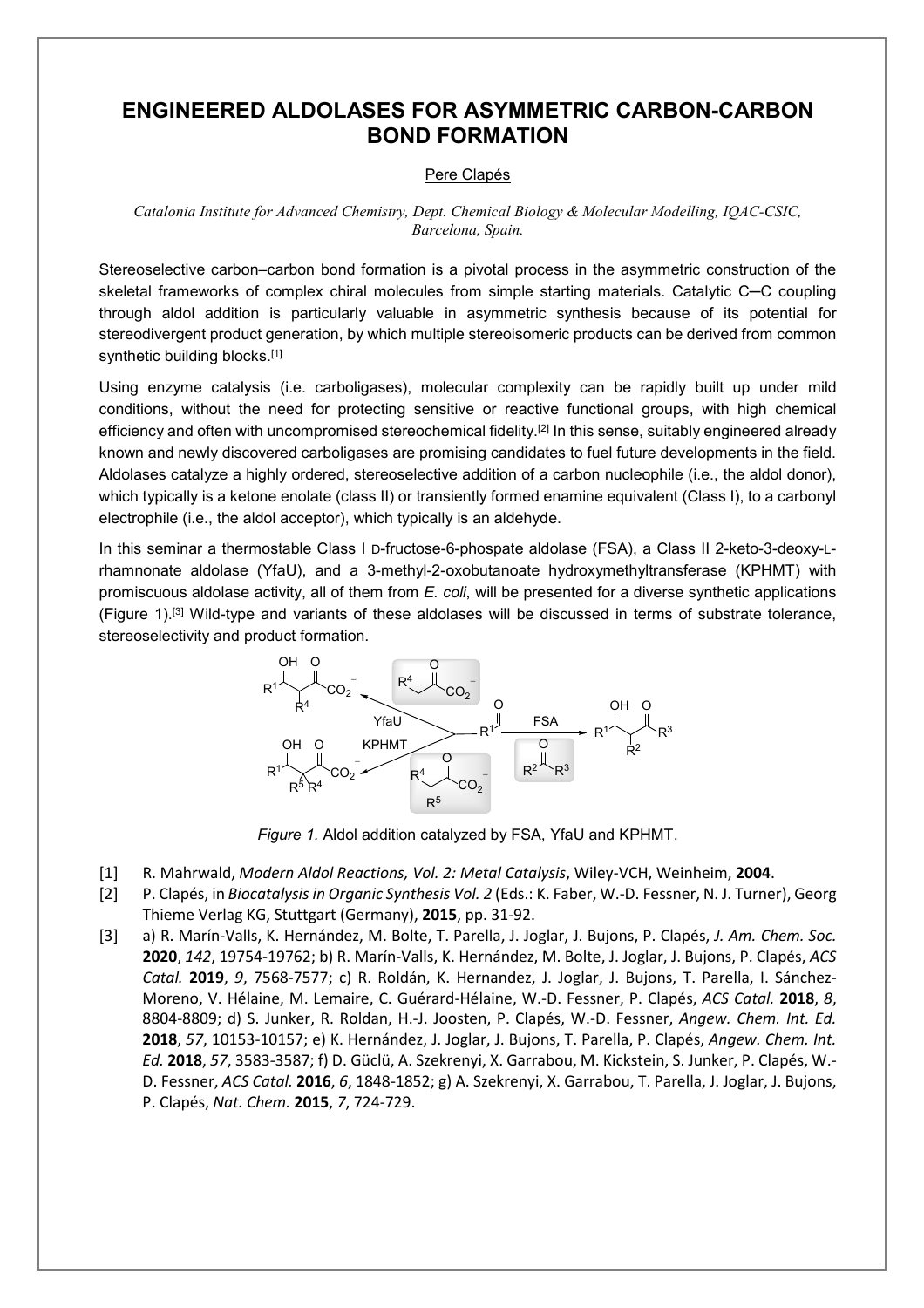### **ENGINEERED ALDOLASES FOR ASYMMETRIC CARBON-CARBON BOND FORMATION**

#### Pere Clapés

#### *Catalonia Institute for Advanced Chemistry, Dept. Chemical Biology & Molecular Modelling, IQAC-CSIC, Barcelona, Spain.*

Stereoselective carbon–carbon bond formation is a pivotal process in the asymmetric construction of the skeletal frameworks of complex chiral molecules from simple starting materials. Catalytic C─C coupling through aldol addition is particularly valuable in asymmetric synthesis because of its potential for stereodivergent product generation, by which multiple stereoisomeric products can be derived from common synthetic building blocks.[1]

Using enzyme catalysis (i.e. carboligases), molecular complexity can be rapidly built up under mild conditions, without the need for protecting sensitive or reactive functional groups, with high chemical efficiency and often with uncompromised stereochemical fidelity.[2] In this sense, suitably engineered already known and newly discovered carboligases are promising candidates to fuel future developments in the field. Aldolases catalyze a highly ordered, stereoselective addition of a carbon nucleophile (i.e., the aldol donor), which typically is a ketone enolate (class II) or transiently formed enamine equivalent (Class I), to a carbonyl electrophile (i.e., the aldol acceptor), which typically is an aldehyde.

In this seminar a thermostable Class I D-fructose-6-phospate aldolase (FSA), a Class II 2-keto-3-deoxy-Lrhamnonate aldolase (YfaU), and a 3-methyl-2-oxobutanoate hydroxymethyltransferase (KPHMT) with promiscuous aldolase activity, all of them from *E. coli*, will be presented for a diverse synthetic applications (Figure 1).[3] Wild-type and variants of these aldolases will be discussed in terms of substrate tolerance, stereoselectivity and product formation.



*Figure 1.* Aldol addition catalyzed by FSA, YfaU and KPHMT.

- [1] R. Mahrwald, *Modern Aldol Reactions, Vol. 2: Metal Catalysis*, Wiley-VCH, Weinheim, **2004**.
- [2] P. Clapés, in *Biocatalysis in Organic Synthesis Vol. 2* (Eds.: K. Faber, W.-D. Fessner, N. J. Turner), Georg Thieme Verlag KG, Stuttgart (Germany), **2015**, pp. 31-92.
- [3] a) R. Marín-Valls, K. Hernández, M. Bolte, T. Parella, J. Joglar, J. Bujons, P. Clapés, *J. Am. Chem. Soc.*  **2020**, *142*, 19754-19762; b) R. Marín-Valls, K. Hernández, M. Bolte, J. Joglar, J. Bujons, P. Clapés, *ACS Catal.* **2019**, *9*, 7568-7577; c) R. Roldán, K. Hernandez, J. Joglar, J. Bujons, T. Parella, I. Sánchez-Moreno, V. Hélaine, M. Lemaire, C. Guérard-Hélaine, W.-D. Fessner, P. Clapés, *ACS Catal.* **2018**, *8*, 8804-8809; d) S. Junker, R. Roldan, H.-J. Joosten, P. Clapés, W.-D. Fessner, *Angew. Chem. Int. Ed.*  **2018**, *57*, 10153-10157; e) K. Hernández, J. Joglar, J. Bujons, T. Parella, P. Clapés, *Angew. Chem. Int. Ed.* **2018**, *57*, 3583-3587; f) D. Güclü, A. Szekrenyi, X. Garrabou, M. Kickstein, S. Junker, P. Clapés, W.- D. Fessner, *ACS Catal.* **2016**, *6*, 1848-1852; g) A. Szekrenyi, X. Garrabou, T. Parella, J. Joglar, J. Bujons, P. Clapés, *Nat. Chem.* **2015**, *7*, 724-729.